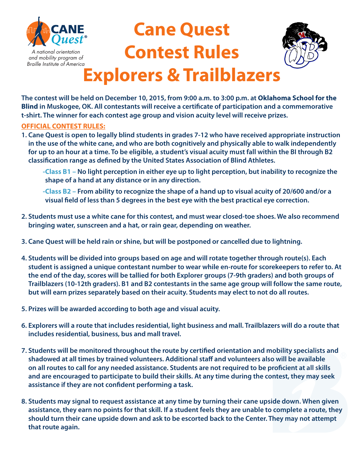

# **Cane Quest Contest Rules Explorers & Trailblazers**



#### **The contest will be held on December 10, 2015, from 9:00 a.m. to 3:00 p.m. at Oklahoma School for the Blind in Muskogee, OK. All contestants will receive a certifcate of participation and a commemorative t-shirt. The winner for each contest age group and vision acuity level will receive prizes.**

#### **OFFICIAL CONTEST RULES:**

- **1. Cane Quest is open to legally blind students in grades 7-12 who have received appropriate instruction in the use of the white cane, and who are both cognitively and physically able to walk independently for up to an hour at a time. To be eligible, a student's visual acuity must fall within the BI through B2 classifcation range as defned by the United States Association of Blind Athletes.**
	- **-Class B1 No light perception in either eye up to light perception, but inability to recognize the shape of a hand at any distance or in any direction.**
	- **-Class B2 From ability to recognize the shape of a hand up to visual acuity of 20/600 and/or a visual feld of less than 5 degrees in the best eye with the best practical eye correction.**
- **2. Students must use a white cane for this contest, and must wear closed-toe shoes. We also recommend bringing water, sunscreen and a hat, or rain gear, depending on weather.**
- **3. Cane Quest will be held rain or shine, but will be postponed or cancelled due to lightning.**
- **4. Students will be divided into groups based on age and will rotate together through route(s). Each student is assigned a unique contestant number to wear while en-route for scorekeepers to refer to. At the end of the day, scores will be tallied for both Explorer groups (7-9th graders) and both groups of Trailblazers (10-12th graders). B1 and B2 contestants in the same age group will follow the same route, but will earn prizes separately based on their acuity. Students may elect to not do all routes.**
- **5. Prizes will be awarded according to both age and visual acuity.**
- **6. Explorers will a route that includes residential, light business and mall. Trailblazers will do a route that includes residential, business, bus and mall travel.**
- **7. Students will be monitored throughout the route by certifed orientation and mobility specialists and shadowed at all times by trained volunteers. Additional staf and volunteers also will be available on all routes to call for any needed assistance. Students are not required to be profcient at all skills and are encouraged to participate to build their skills. At any time during the contest, they may seek assistance if they are not confdent performing a task.**
- **8. Students may signal to request assistance at any time by turning their cane upside down. When given assistance, they earn no points for that skill. If a student feels they are unable to complete a route, they should turn their cane upside down and ask to be escorted back to the Center. They may not attempt that route again.**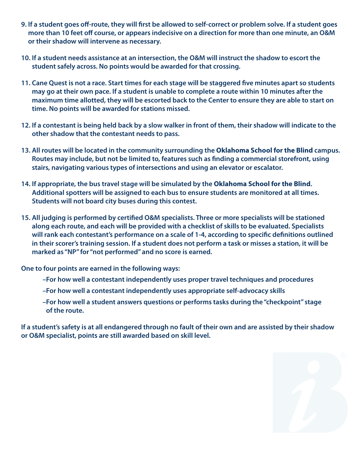- **9. If a student goes of-route, they will frst be allowed to self-correct or problem solve. If a student goes more than 10 feet of course, or appears indecisive on a direction for more than one minute, an O&M or their shadow will intervene as necessary.**
- **10. If a student needs assistance at an intersection, the O&M will instruct the shadow to escort the student safely across. No points would be awarded for that crossing.**
- **11. Cane Quest is not a race. Start times for each stage will be staggered fve minutes apart so students may go at their own pace. If a student is unable to complete a route within 10 minutes after the maximum time allotted, they will be escorted back to the Center to ensure they are able to start on time. No points will be awarded for stations missed.**
- **12. If a contestant is being held back by a slow walker in front of them, their shadow will indicate to the other shadow that the contestant needs to pass.**
- **13. All routes will be located in the community surrounding the Oklahoma School for the Blind campus. Routes may include, but not be limited to, features such as fnding a commercial storefront, using stairs, navigating various types of intersections and using an elevator or escalator.**
- **14. If appropriate, the bus travel stage will be simulated by the Oklahoma School for the Blind. Additional spotters will be assigned to each bus to ensure students are monitored at all times. Students will not board city buses during this contest.**
- **15. All judging is performed by certifed O&M specialists. Three or more specialists will be stationed along each route, and each will be provided with a checklist of skills to be evaluated. Specialists will rank each contestant's performance on a scale of 1-4, according to specifc defnitions outlined in their scorer's training session. If a student does not perform a task or misses a station, it will be marked as "NP" for "not performed" and no score is earned.**

**One to four points are earned in the following ways:**

- **–For how well a contestant independently uses proper travel techniques and procedures**
- **–For how well a contestant independently uses appropriate self-advocacy skills**
- **–For how well a student answers questions or performs tasks during the "checkpoint" stage of the route.**

**If a student's safety is at all endangered through no fault of their own and are assisted by their shadow or O&M specialist, points are still awarded based on skill level.**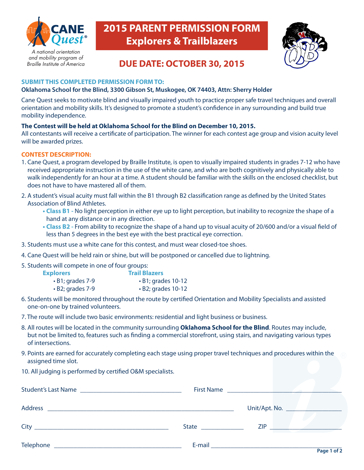

Braille Institute of America

**2015 PARENT PERMISSION FORM Explorers & Trailblazers**



## **DUE DATE: OCTOBER 30, 2015**

#### **SUBMIT THIS COMPLETED PERMISSION FORM TO:**

#### **Oklahoma School for the Blind, 3300 Gibson St, Muskogee, OK 74403, Attn: Sherry Holder**

Cane Quest seeks to motivate blind and visually impaired youth to practice proper safe travel techniques and overall orientation and mobility skills. It's designed to promote a student's confdence in any surrounding and build true mobility independence.

#### **The Contest will be held at Oklahoma School for the Blind on December 10, 2015.**

All contestants will receive a certifcate of participation. The winner for each contest age group and vision acuity level will be awarded prizes.

#### **CONTEST DESCRIPTION:**

- 1. Cane Quest, a program developed by Braille Institute, is open to visually impaired students in grades 7-12 who have received appropriate instruction in the use of the white cane, and who are both cognitively and physically able to walk independently for an hour at a time. A student should be familiar with the skills on the enclosed checklist, but does not have to have mastered all of them.
- 2. A student's visual acuity must fall within the B1 through B2 classifcation range as defned by the United States Association of Blind Athletes.
	- **Class B1** No light perception in either eye up to light perception, but inability to recognize the shape of a hand at any distance or in any direction.
	- **Class B2** From ability to recognize the shape of a hand up to visual acuity of 20/600 and/or a visual field of less than 5 degrees in the best eye with the best practical eye correction.
- 3. Students must use a white cane for this contest, and must wear closed-toe shoes.
- 4. Cane Quest will be held rain or shine, but will be postponed or cancelled due to lightning.
- 5. Students will compete in one of four groups:

| <b>Explorers</b>       | <b>Trail Blazers</b>     |
|------------------------|--------------------------|
| $\cdot$ B1; grades 7-9 | $\cdot$ B1; grades 10-12 |
| $\cdot$ B2; grades 7-9 | $\cdot$ B2; grades 10-12 |

- 6. Students will be monitored throughout the route by certifed Orientation and Mobility Specialists and assisted one-on-one by trained volunteers.
- 7. The route will include two basic environments: residential and light business or business.
- 8. All routes will be located in the community surrounding **Oklahoma School for the Blind**. Routes may include, but not be limited to, features such as fnding a commercial storefront, using stairs, and navigating various types of intersections.
- 9. Points are earned for accurately completing each stage using proper travel techniques and procedures within the assigned time slot.
- 10. All judging is performed by certifed O&M specialists.

|                |                                                            | First Name                                                                                                                                                                            |                                  |
|----------------|------------------------------------------------------------|---------------------------------------------------------------------------------------------------------------------------------------------------------------------------------------|----------------------------------|
| <b>Address</b> | <u> 1999 - Jan James James, maria al II-lea (j. 1908).</u> |                                                                                                                                                                                       | Unit/Apt. No. __________________ |
|                | State ______________                                       | <b>ZIP</b>                                                                                                                                                                            |                                  |
| Telephone      |                                                            | E-mail <b>E-mail E-mail E-mail E-mail E-mail E-mail E-mail E-mail E-mail E-mail E-mail E-mail E-mail E-mail E-mail E-mail E-mail E-mail E-mail E-mail E-mail E-mail E-mail E-mail</b> | $D = 4 + 4 + 6$                  |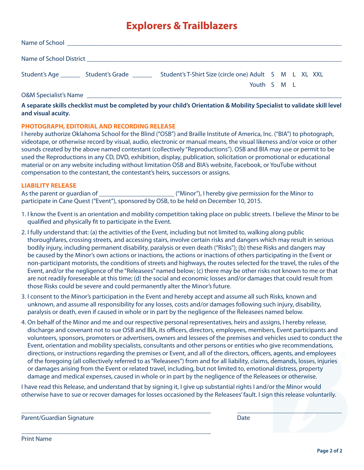## **Explorers & Trailblazers**

| Student's Age _________ Student's Grade _______                                                                                                                                                                                                                                                                                                                                                                                            | Student's T-Shirt Size (circle one) Adult S M L XL XXL |  |  |  |  |  |  |  |
|--------------------------------------------------------------------------------------------------------------------------------------------------------------------------------------------------------------------------------------------------------------------------------------------------------------------------------------------------------------------------------------------------------------------------------------------|--------------------------------------------------------|--|--|--|--|--|--|--|
| $\begin{array}{ccccccccccccccccc} \multicolumn{4}{c }{\textbf{1} & \textbf{1} & \textbf{1} & \textbf{1} & \textbf{1} & \textbf{1} & \textbf{1} & \textbf{1} & \textbf{1} & \textbf{1} & \textbf{1} & \textbf{1} & \textbf{1} & \textbf{1} & \textbf{1} & \textbf{1} & \textbf{1} & \textbf{1} & \textbf{1} & \textbf{1} & \textbf{1} & \textbf{1} & \textbf{1} & \textbf{1} & \textbf{1} & \textbf{1} & \textbf{1} & \textbf{1} & \textbf$ | Youth S M L                                            |  |  |  |  |  |  |  |

O&M Specialist's Name

**A separate skills checklist must be completed by your child's Orientation & Mobility Specialist to validate skill level and visual acuity.**

#### **PHOTOGRAPH, EDITORIAL AND RECORDING RELEASE**

I hereby authorize Oklahoma School for the Blind ("OSB") and Braille Institute of America, Inc. ("BIA") to photograph, videotape, or otherwise record by visual, audio, electronic or manual means, the visual likeness and/or voice or other sounds created by the above named contestant (collectively "Reproductions"). OSB and BIA may use or permit to be used the Reproductions in any CD, DVD, exhibition, display, publication, solicitation or promotional or educational material or on any website including without limitation OSB and BIA's website, Facebook, or YouTube without compensation to the contestant, the contestant's heirs, successors or assigns.

#### **LIABILITY RELEASE**

As the parent or guardian of  $\blacksquare$  ("Minor"), I hereby give permission for the Minor to participate in Cane Quest ("Event"), sponsored by OSB, to be held on December 10, 2015.

- 1. I know the Event is an orientation and mobility competition taking place on public streets. I believe the Minor to be qualifed and physically ft to participate in the Event.
- 2. I fully understand that: (a) the activities of the Event, including but not limited to, walking along public thoroughfares, crossing streets, and accessing stairs, involve certain risks and dangers which may result in serious bodily injury, including permanent disability, paralysis or even death ("Risks"); (b) these Risks and dangers may be caused by the Minor's own actions or inactions, the actions or inactions of others participating in the Event or non-participant motorists, the conditions of streets and highways, the routes selected for the travel, the rules of the Event, and/or the negligence of the "Releasees" named below; (c) there may be other risks not known to me or that are not readily foreseeable at this time; (d) the social and economic losses and/or damages that could result from those Risks could be severe and could permanently alter the Minor's future.
- 3. I consent to the Minor's participation in the Event and hereby accept and assume all such Risks, known and unknown, and assume all responsibility for any losses, costs and/or damages following such injury, disability, paralysis or death, even if caused in whole or in part by the negligence of the Releasees named below.
- 4. On behalf of the Minor and me and our respective personal representatives, heirs and assigns, I hereby release, discharge and covenant not to sue OSB and BIA, its officers, directors, employees, members, Event participants and volunteers, sponsors, promoters or advertisers, owners and lessees of the premises and vehicles used to conduct the Event, orientation and mobility specialists, consultants and other persons or entities who give recommendations, directions, or instructions regarding the premises or Event, and all of the directors, officers, agents, and employees of the foregoing (all collectively referred to as "Releasees") from and for all liability, claims, demands, losses, injuries or damages arising from the Event or related travel, including, but not limited to, emotional distress, property damage and medical expenses, caused in whole or in part by the negligence of the Releasees or otherwise.

I have read this Release, and understand that by signing it, I give up substantial rights I and/or the Minor would otherwise have to sue or recover damages for losses occasioned by the Releasees' fault. I sign this release voluntarily.

\_\_\_\_\_\_\_\_\_\_\_\_\_\_\_\_\_\_\_\_\_\_\_\_\_\_\_\_\_\_\_\_\_\_\_\_\_\_\_\_\_\_\_\_\_\_\_\_\_\_\_\_\_\_\_\_\_\_ \_\_\_\_\_\_\_\_\_\_\_\_\_\_\_\_\_\_\_\_\_\_\_\_\_\_\_\_\_\_\_\_

Parent/Guardian Signature **1896 1997 1998 1998 1998 1998 1998 1998 1998 1998 1999 1999 1999 1999 1999 1999 1999 1999 1999 1999 1999 1999 1999 1999 1999 1999 1999 1999**

\_\_\_\_\_\_\_\_\_\_\_\_\_\_\_\_\_\_\_\_\_\_\_\_\_\_\_\_\_\_\_\_\_\_\_\_\_\_\_\_\_\_\_\_\_\_\_\_\_\_\_\_\_\_\_\_\_\_

**Print Name**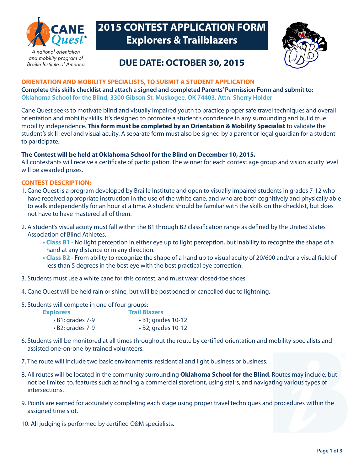

and mobility program of Braille Institute of America

# **2015 CONTEST APPLICATION FORM Explorers & Trailblazers**



## **DUE DATE: OCTOBER 30, 2015**

#### **ORIENTATION AND MOBILITY SPECIALISTS, TO SUBMIT A STUDENT APPLICATION**

**Complete this skills checklist and attach a signed and completed Parents' Permission Form and submit to: Oklahoma School for the Blind, 3300 Gibson St, Muskogee, OK 74403, Attn: Sherry Holder**

Cane Quest seeks to motivate blind and visually impaired youth to practice proper safe travel techniques and overall orientation and mobility skills. It's designed to promote a student's confdence in any surrounding and build true mobility independence. **This form must be completed by an Orientation & Mobility Specialist** to validate the student's skill level and visual acuity. A separate form must also be signed by a parent or legal guardian for a student to participate.

#### **The Contest will be held at Oklahoma School for the Blind on December 10, 2015.**

All contestants will receive a certifcate of participation. The winner for each contest age group and vision acuity level will be awarded prizes.

#### **CONTEST DESCRIPTION:**

- 1. Cane Quest is a program developed by Braille Institute and open to visually impaired students in grades 7-12 who have received appropriate instruction in the use of the white cane, and who are both cognitively and physically able to walk independently for an hour at a time. A student should be familiar with the skills on the checklist, but does not have to have mastered all of them.
- 2. A student's visual acuity must fall within the B1 through B2 classifcation range as defned by the United States Association of Blind Athletes.
	- **Class B1** No light perception in either eye up to light perception, but inability to recognize the shape of a hand at any distance or in any direction.
	- Class B2 From ability to recognize the shape of a hand up to visual acuity of 20/600 and/or a visual field of less than 5 degrees in the best eye with the best practical eye correction.
- 3. Students must use a white cane for this contest, and must wear closed-toe shoes.
- 4. Cane Quest will be held rain or shine, but will be postponed or cancelled due to lightning.
- 5. Students will compete in one of four groups:

| <b>Explorers</b>       | <b>Trail Blazers</b>     |
|------------------------|--------------------------|
| $\cdot$ B1; grades 7-9 | $\cdot$ B1; grades 10-12 |
| $\cdot$ B2; grades 7-9 | $\cdot$ B2; grades 10-12 |

- 6. Students will be monitored at all times throughout the route by certifed orientation and mobility specialists and assisted one-on-one by trained volunteers.
- 7. The route will include two basic environments: residential and light business or business.
- 8. All routes will be located in the community surrounding **Oklahoma School for the Blind**. Routes may include, but not be limited to, features such as fnding a commercial storefront, using stairs, and navigating various types of intersections.
- 9. Points are earned for accurately completing each stage using proper travel techniques and procedures within the assigned time slot.
- 10. All judging is performed by certifed O&M specialists.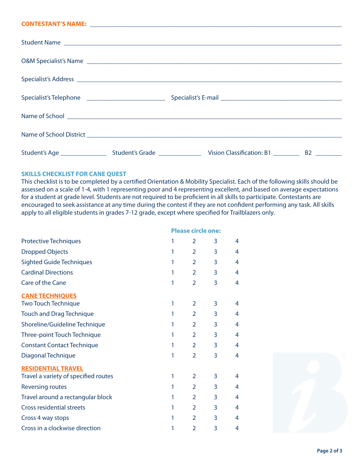#### **CONTESTANT'S NAME:** \_\_\_\_\_\_\_\_\_\_\_\_\_\_\_\_\_\_\_\_\_\_\_\_\_\_\_\_\_\_\_\_\_\_\_\_\_\_\_\_\_\_\_\_\_\_\_\_\_\_\_\_\_\_\_\_\_\_\_\_\_\_\_\_\_\_\_\_\_\_\_\_\_\_\_\_\_

| Student Name |  |  |
|--------------|--|--|
|              |  |  |
|              |  |  |
|              |  |  |
|              |  |  |
|              |  |  |
|              |  |  |
|              |  |  |

#### **SKILLS CHECKLIST FOR CANE QUEST**

This checklist is to be completed by a certifed Orientation & Mobility Specialist. Each of the following skills should be assessed on a scale of 1-4, with 1 representing poor and 4 representing excellent, and based on average expectations for a student at grade level. Students are not required to be profcient in all skills to participate. Contestants are encouraged to seek assistance at any time during the contest if they are not confdent performing any task. All skills apply to all eligible students in grades 7-12 grade, except where specifed for Trailblazers only.

|                                      |   | <b>Please circle one:</b> |   |   |  |
|--------------------------------------|---|---------------------------|---|---|--|
| <b>Protective Techniques</b>         | 1 | $\overline{2}$            | 3 | 4 |  |
| <b>Dropped Objects</b>               | 1 | $\overline{2}$            | 3 | 4 |  |
| <b>Sighted Guide Techniques</b>      | 1 | $\overline{2}$            | 3 | 4 |  |
| <b>Cardinal Directions</b>           | 1 | $\overline{2}$            | 3 | 4 |  |
| Care of the Cane                     | 1 | $\overline{2}$            | 3 | 4 |  |
| <b>CANE TECHNIQUES</b>               |   |                           |   |   |  |
| <b>Two Touch Technique</b>           | 1 | $\overline{2}$            | 3 | 4 |  |
| <b>Touch and Drag Technique</b>      | 1 | $\overline{2}$            | 3 | 4 |  |
| Shoreline/Guideline Technique        | 1 | $\overline{2}$            | 3 | 4 |  |
| Three-point Touch Technique          | 1 | $\overline{2}$            | 3 | 4 |  |
| <b>Constant Contact Technique</b>    | 1 | $\overline{2}$            | 3 | 4 |  |
| Diagonal Technique                   | 1 | $\overline{2}$            | 3 | 4 |  |
| <b>RESIDENTIAL TRAVEL</b>            |   |                           |   |   |  |
| Travel a variety of specified routes | 1 | $\overline{2}$            | 3 | 4 |  |
| <b>Reversing routes</b>              | 1 | $\overline{2}$            | 3 | 4 |  |
| Travel around a rectangular block    | 1 | $\overline{2}$            | 3 | 4 |  |
| <b>Cross residential streets</b>     | 1 | $\overline{2}$            | 3 | 4 |  |
| Cross 4 way stops                    | 1 | $\overline{2}$            | 3 | 4 |  |
| Cross in a clockwise direction       | 1 | 2                         | 3 | 4 |  |